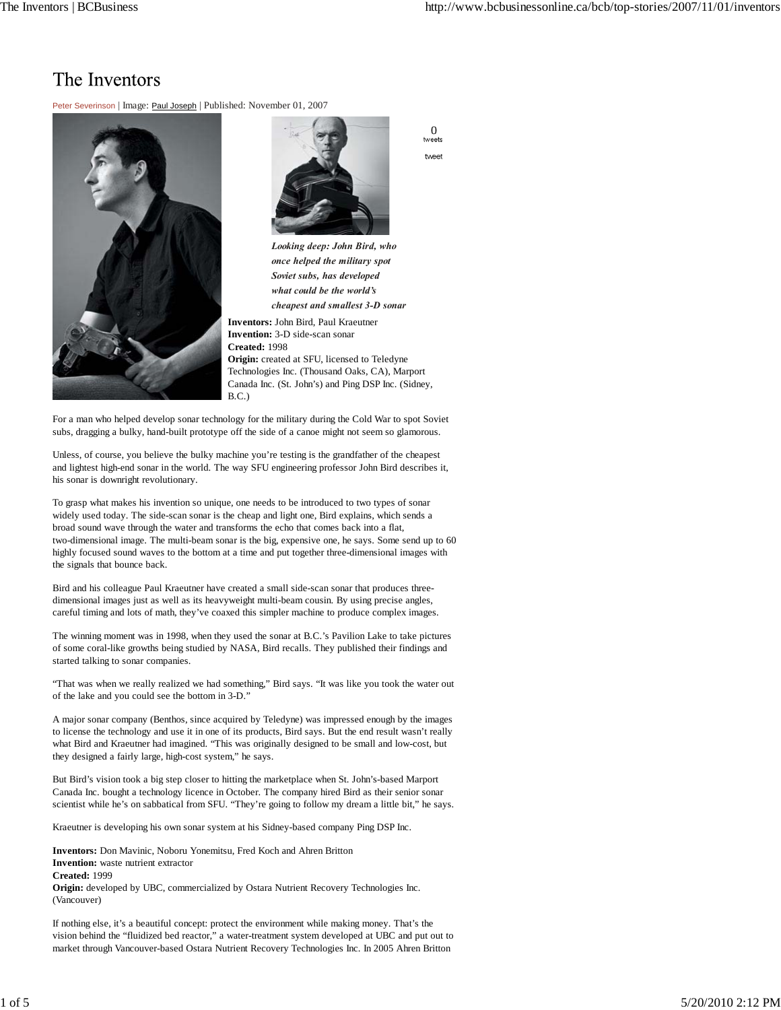## The Inventors

Peter Severinson | Image: Paul Joseph | Published: November 01, 2007





0 tweets tweet

*Looking deep: John Bird, who once helped the military spot Soviet subs, has developed what could be the world's cheapest and smallest 3-D sonar*

**Inventors:** John Bird, Paul Kraeutner **Invention:** 3-D side-scan sonar **Created:** 1998 **Origin:** created at SFU, licensed to Teledyne Technologies Inc. (Thousand Oaks, CA), Marport Canada Inc. (St. John's) and Ping DSP Inc. (Sidney, B.C.)

For a man who helped develop sonar technology for the military during the Cold War to spot Soviet subs, dragging a bulky, hand-built prototype off the side of a canoe might not seem so glamorous.

Unless, of course, you believe the bulky machine you're testing is the grandfather of the cheapest and lightest high-end sonar in the world. The way SFU engineering professor John Bird describes it, his sonar is downright revolutionary.

To grasp what makes his invention so unique, one needs to be introduced to two types of sonar widely used today. The side-scan sonar is the cheap and light one, Bird explains, which sends a broad sound wave through the water and transforms the echo that comes back into a flat, two-dimensional image. The multi-beam sonar is the big, expensive one, he says. Some send up to 60 highly focused sound waves to the bottom at a time and put together three-dimensional images with the signals that bounce back.

Bird and his colleague Paul Kraeutner have created a small side-scan sonar that produces threedimensional images just as well as its heavyweight multi-beam cousin. By using precise angles, careful timing and lots of math, they've coaxed this simpler machine to produce complex images.

The winning moment was in 1998, when they used the sonar at B.C.'s Pavilion Lake to take pictures of some coral-like growths being studied by NASA, Bird recalls. They published their findings and started talking to sonar companies.

"That was when we really realized we had something," Bird says. "It was like you took the water out of the lake and you could see the bottom in 3-D."

A major sonar company (Benthos, since acquired by Teledyne) was impressed enough by the images to license the technology and use it in one of its products, Bird says. But the end result wasn't really what Bird and Kraeutner had imagined. "This was originally designed to be small and low-cost, but they designed a fairly large, high-cost system," he says.

But Bird's vision took a big step closer to hitting the marketplace when St. John's-based Marport Canada Inc. bought a technology licence in October. The company hired Bird as their senior sonar scientist while he's on sabbatical from SFU. "They're going to follow my dream a little bit," he says.

Kraeutner is developing his own sonar system at his Sidney-based company Ping DSP Inc.

**Inventors:** Don Mavinic, Noboru Yonemitsu, Fred Koch and Ahren Britton **Invention:** waste nutrient extractor **Created:** 1999 **Origin:** developed by UBC, commercialized by Ostara Nutrient Recovery Technologies Inc. (Vancouver)

If nothing else, it's a beautiful concept: protect the environment while making money. That's the vision behind the "fluidized bed reactor," a water-treatment system developed at UBC and put out to market through Vancouver-based Ostara Nutrient Recovery Technologies Inc. In 2005 Ahren Britton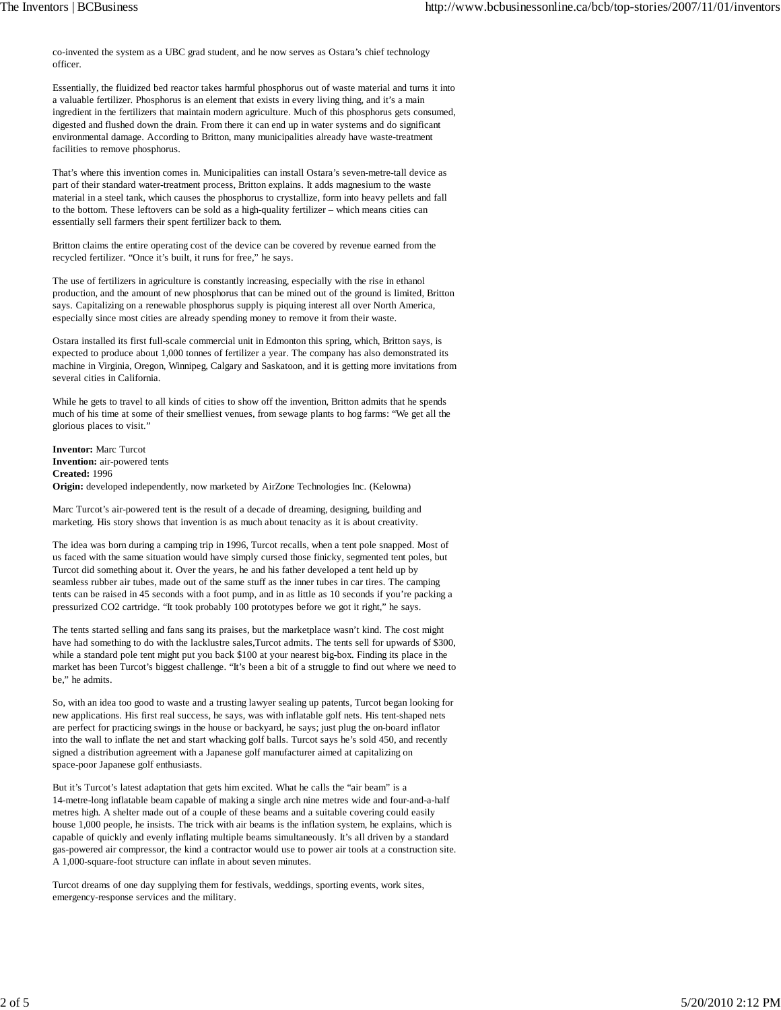co-invented the system as a UBC grad student, and he now serves as Ostara's chief technology officer.

Essentially, the fluidized bed reactor takes harmful phosphorus out of waste material and turns it into a valuable fertilizer. Phosphorus is an element that exists in every living thing, and it's a main ingredient in the fertilizers that maintain modern agriculture. Much of this phosphorus gets consumed, digested and flushed down the drain. From there it can end up in water systems and do significant environmental damage. According to Britton, many municipalities already have waste-treatment facilities to remove phosphorus.

That's where this invention comes in. Municipalities can install Ostara's seven-metre-tall device as part of their standard water-treatment process, Britton explains. It adds magnesium to the waste material in a steel tank, which causes the phosphorus to crystallize, form into heavy pellets and fall to the bottom. These leftovers can be sold as a high-quality fertilizer – which means cities can essentially sell farmers their spent fertilizer back to them.

Britton claims the entire operating cost of the device can be covered by revenue earned from the recycled fertilizer. "Once it's built, it runs for free," he says.

The use of fertilizers in agriculture is constantly increasing, especially with the rise in ethanol production, and the amount of new phosphorus that can be mined out of the ground is limited, Britton says. Capitalizing on a renewable phosphorus supply is piquing interest all over North America, especially since most cities are already spending money to remove it from their waste.

Ostara installed its first full-scale commercial unit in Edmonton this spring, which, Britton says, is expected to produce about 1,000 tonnes of fertilizer a year. The company has also demonstrated its machine in Virginia, Oregon, Winnipeg, Calgary and Saskatoon, and it is getting more invitations from several cities in California.

While he gets to travel to all kinds of cities to show off the invention, Britton admits that he spends much of his time at some of their smelliest venues, from sewage plants to hog farms: "We get all the glorious places to visit."

**Inventor:** Marc Turcot **Invention:** air-powered tents **Created:** 1996 **Origin:** developed independently, now marketed by AirZone Technologies Inc. (Kelowna)

Marc Turcot's air-powered tent is the result of a decade of dreaming, designing, building and marketing. His story shows that invention is as much about tenacity as it is about creativity.

The idea was born during a camping trip in 1996, Turcot recalls, when a tent pole snapped. Most of us faced with the same situation would have simply cursed those finicky, segmented tent poles, but Turcot did something about it. Over the years, he and his father developed a tent held up by seamless rubber air tubes, made out of the same stuff as the inner tubes in car tires. The camping tents can be raised in 45 seconds with a foot pump, and in as little as 10 seconds if you're packing a pressurized CO2 cartridge. "It took probably 100 prototypes before we got it right," he says.

The tents started selling and fans sang its praises, but the marketplace wasn't kind. The cost might have had something to do with the lacklustre sales,Turcot admits. The tents sell for upwards of \$300, while a standard pole tent might put you back \$100 at your nearest big-box. Finding its place in the market has been Turcot's biggest challenge. "It's been a bit of a struggle to find out where we need to be," he admits.

So, with an idea too good to waste and a trusting lawyer sealing up patents, Turcot began looking for new applications. His first real success, he says, was with inflatable golf nets. His tent-shaped nets are perfect for practicing swings in the house or backyard, he says; just plug the on-board inflator into the wall to inflate the net and start whacking golf balls. Turcot says he's sold 450, and recently signed a distribution agreement with a Japanese golf manufacturer aimed at capitalizing on space-poor Japanese golf enthusiasts.

But it's Turcot's latest adaptation that gets him excited. What he calls the "air beam" is a 14-metre-long inflatable beam capable of making a single arch nine metres wide and four-and-a-half metres high. A shelter made out of a couple of these beams and a suitable covering could easily house 1,000 people, he insists. The trick with air beams is the inflation system, he explains, which is capable of quickly and evenly inflating multiple beams simultaneously. It's all driven by a standard gas-powered air compressor, the kind a contractor would use to power air tools at a construction site. A 1,000-square-foot structure can inflate in about seven minutes.

Turcot dreams of one day supplying them for festivals, weddings, sporting events, work sites, emergency-response services and the military.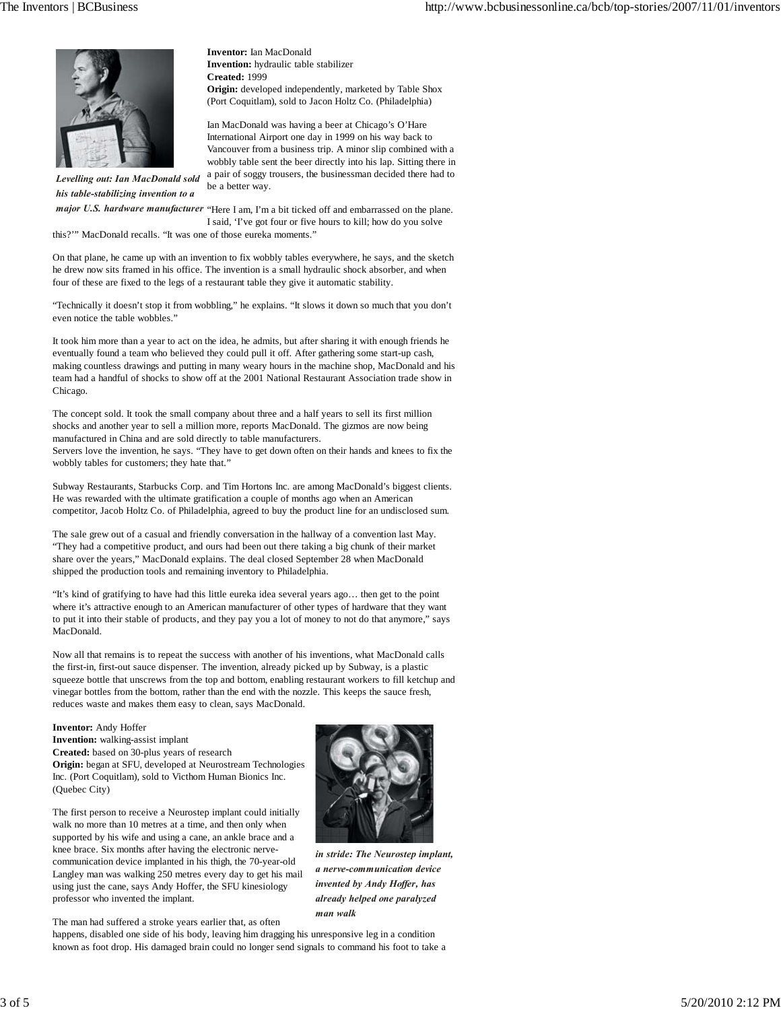

*Levelling out: Ian MacDonald sold his table-stabilizing invention to a*

(Port Coquitlam), sold to Jacon Holtz Co. (Philadelphia) Ian MacDonald was having a beer at Chicago's O'Hare International Airport one day in 1999 on his way back to Vancouver from a business trip. A minor slip combined with a

**Origin:** developed independently, marketed by Table Shox

wobbly table sent the beer directly into his lap. Sitting there in a pair of soggy trousers, the businessman decided there had to be a better way.

*major U.S. hardware manufacturer* "Here I am, I'm a bit ticked off and embarrassed on the plane. I said, 'I've got four or five hours to kill; how do you solve

this?'" MacDonald recalls. "It was one of those eureka moments."

On that plane, he came up with an invention to fix wobbly tables everywhere, he says, and the sketch he drew now sits framed in his office. The invention is a small hydraulic shock absorber, and when four of these are fixed to the legs of a restaurant table they give it automatic stability.

**Inventor:** Ian MacDonald **Invention:** hydraulic table stabilizer

**Created:** 1999

"Technically it doesn't stop it from wobbling," he explains. "It slows it down so much that you don't even notice the table wobbles."

It took him more than a year to act on the idea, he admits, but after sharing it with enough friends he eventually found a team who believed they could pull it off. After gathering some start-up cash, making countless drawings and putting in many weary hours in the machine shop, MacDonald and his team had a handful of shocks to show off at the 2001 National Restaurant Association trade show in Chicago.

The concept sold. It took the small company about three and a half years to sell its first million shocks and another year to sell a million more, reports MacDonald. The gizmos are now being manufactured in China and are sold directly to table manufacturers. Servers love the invention, he says. "They have to get down often on their hands and knees to fix the wobbly tables for customers; they hate that."

Subway Restaurants, Starbucks Corp. and Tim Hortons Inc. are among MacDonald's biggest clients. He was rewarded with the ultimate gratification a couple of months ago when an American competitor, Jacob Holtz Co. of Philadelphia, agreed to buy the product line for an undisclosed sum.

The sale grew out of a casual and friendly conversation in the hallway of a convention last May. "They had a competitive product, and ours had been out there taking a big chunk of their market share over the years," MacDonald explains. The deal closed September 28 when MacDonald shipped the production tools and remaining inventory to Philadelphia.

"It's kind of gratifying to have had this little eureka idea several years ago… then get to the point where it's attractive enough to an American manufacturer of other types of hardware that they want to put it into their stable of products, and they pay you a lot of money to not do that anymore," says MacDonald.

Now all that remains is to repeat the success with another of his inventions, what MacDonald calls the first-in, first-out sauce dispenser. The invention, already picked up by Subway, is a plastic squeeze bottle that unscrews from the top and bottom, enabling restaurant workers to fill ketchup and vinegar bottles from the bottom, rather than the end with the nozzle. This keeps the sauce fresh, reduces waste and makes them easy to clean, says MacDonald.

## **Inventor:** Andy Hoffer

**Invention:** walking-assist implant **Created:** based on 30-plus years of research **Origin:** began at SFU, developed at Neurostream Technologies Inc. (Port Coquitlam), sold to Victhom Human Bionics Inc. (Quebec City)

The first person to receive a Neurostep implant could initially walk no more than 10 metres at a time, and then only when supported by his wife and using a cane, an ankle brace and a knee brace. Six months after having the electronic nervecommunication device implanted in his thigh, the 70-year-old Langley man was walking 250 metres every day to get his mail using just the cane, says Andy Hoffer, the SFU kinesiology professor who invented the implant.



happens, disabled one side of his body, leaving him dragging his unresponsive leg in a condition known as foot drop. His damaged brain could no longer send signals to command his foot to take a



*in stride: The Neurostep implant, a nerve-communication device invented by Andy Hoffer, has already helped one paralyzed man walk*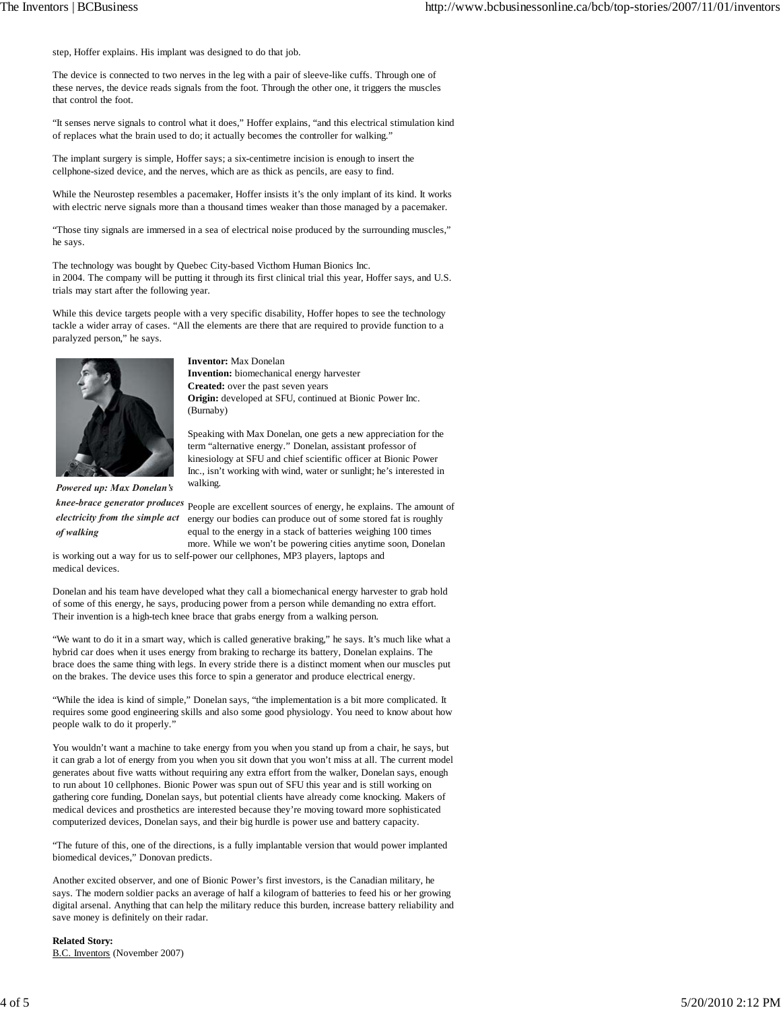step, Hoffer explains. His implant was designed to do that job.

The device is connected to two nerves in the leg with a pair of sleeve-like cuffs. Through one of these nerves, the device reads signals from the foot. Through the other one, it triggers the muscles that control the foot.

"It senses nerve signals to control what it does," Hoffer explains, "and this electrical stimulation kind of replaces what the brain used to do; it actually becomes the controller for walking."

The implant surgery is simple, Hoffer says; a six-centimetre incision is enough to insert the cellphone-sized device, and the nerves, which are as thick as pencils, are easy to find.

While the Neurostep resembles a pacemaker, Hoffer insists it's the only implant of its kind. It works with electric nerve signals more than a thousand times weaker than those managed by a pacemaker.

"Those tiny signals are immersed in a sea of electrical noise produced by the surrounding muscles," he says.

The technology was bought by Quebec City-based Victhom Human Bionics Inc. in 2004. The company will be putting it through its first clinical trial this year, Hoffer says, and U.S. trials may start after the following year.

While this device targets people with a very specific disability, Hoffer hopes to see the technology tackle a wider array of cases. "All the elements are there that are required to provide function to a paralyzed person," he says.



**Inventor:** Max Donelan **Invention:** biomechanical energy harvester **Created:** over the past seven years **Origin:** developed at SFU, continued at Bionic Power Inc. (Burnaby)

Speaking with Max Donelan, one gets a new appreciation for the term "alternative energy." Donelan, assistant professor of kinesiology at SFU and chief scientific officer at Bionic Power Inc., isn't working with wind, water or sunlight; he's interested in walking.

*Powered up: Max Donelan's of walking*

*knee-brace generator produces* People are excellent sources of energy, he explains. The amount of *electricity from the simple act* energy our bodies can produce out of some stored fat is roughly equal to the energy in a stack of batteries weighing 100 times more. While we won't be powering cities anytime soon, Donelan

is working out a way for us to self-power our cellphones, MP3 players, laptops and medical devices.

Donelan and his team have developed what they call a biomechanical energy harvester to grab hold of some of this energy, he says, producing power from a person while demanding no extra effort. Their invention is a high-tech knee brace that grabs energy from a walking person.

"We want to do it in a smart way, which is called generative braking," he says. It's much like what a hybrid car does when it uses energy from braking to recharge its battery, Donelan explains. The brace does the same thing with legs. In every stride there is a distinct moment when our muscles put on the brakes. The device uses this force to spin a generator and produce electrical energy.

"While the idea is kind of simple," Donelan says, "the implementation is a bit more complicated. It requires some good engineering skills and also some good physiology. You need to know about how people walk to do it properly."

You wouldn't want a machine to take energy from you when you stand up from a chair, he says, but it can grab a lot of energy from you when you sit down that you won't miss at all. The current model generates about five watts without requiring any extra effort from the walker, Donelan says, enough to run about 10 cellphones. Bionic Power was spun out of SFU this year and is still working on gathering core funding, Donelan says, but potential clients have already come knocking. Makers of medical devices and prosthetics are interested because they're moving toward more sophisticated computerized devices, Donelan says, and their big hurdle is power use and battery capacity.

"The future of this, one of the directions, is a fully implantable version that would power implanted biomedical devices," Donovan predicts.

Another excited observer, and one of Bionic Power's first investors, is the Canadian military, he says. The modern soldier packs an average of half a kilogram of batteries to feed his or her growing digital arsenal. Anything that can help the military reduce this burden, increase battery reliability and save money is definitely on their radar.

**Related Story:** B.C. Inventors (November 2007)